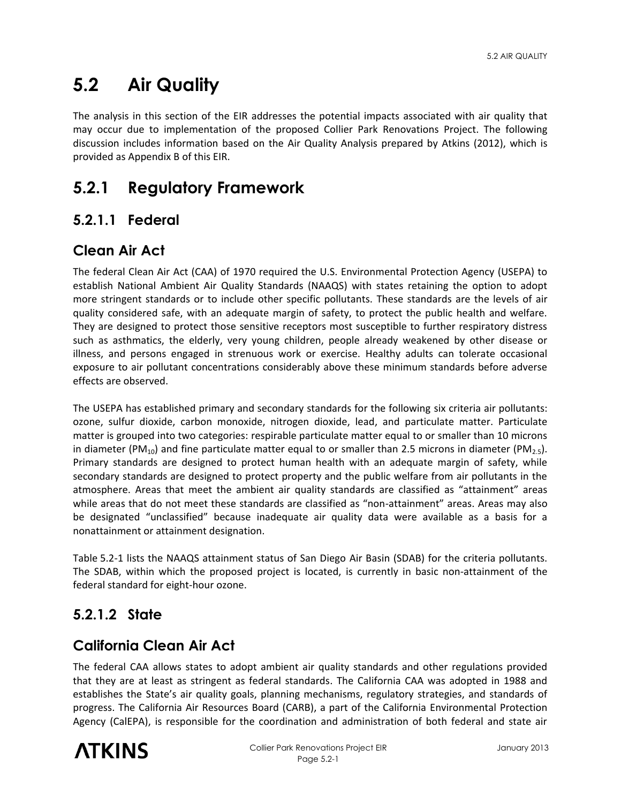# **5.2 Air Quality**

The analysis in this section of the EIR addresses the potential impacts associated with air quality that may occur due to implementation of the proposed Collier Park Renovations Project. The following discussion includes information based on the Air Quality Analysis prepared by Atkins (2012), which is provided as Appendix B of this EIR.

# **5.2.1 Regulatory Framework**

## **5.2.1.1 Federal**

## **Clean Air Act**

The federal Clean Air Act (CAA) of 1970 required the U.S. Environmental Protection Agency (USEPA) to establish National Ambient Air Quality Standards (NAAQS) with states retaining the option to adopt more stringent standards or to include other specific pollutants. These standards are the levels of air quality considered safe, with an adequate margin of safety, to protect the public health and welfare. They are designed to protect those sensitive receptors most susceptible to further respiratory distress such as asthmatics, the elderly, very young children, people already weakened by other disease or illness, and persons engaged in strenuous work or exercise. Healthy adults can tolerate occasional exposure to air pollutant concentrations considerably above these minimum standards before adverse effects are observed.

The USEPA has established primary and secondary standards for the following six criteria air pollutants: ozone, sulfur dioxide, carbon monoxide, nitrogen dioxide, lead, and particulate matter. Particulate matter is grouped into two categories: respirable particulate matter equal to or smaller than 10 microns in diameter (PM<sub>10</sub>) and fine particulate matter equal to or smaller than 2.5 microns in diameter (PM<sub>2.5</sub>). Primary standards are designed to protect human health with an adequate margin of safety, while secondary standards are designed to protect property and the public welfare from air pollutants in the atmosphere. Areas that meet the ambient air quality standards are classified as "attainment" areas while areas that do not meet these standards are classified as "non-attainment" areas. Areas may also be designated "unclassified" because inadequate air quality data were available as a basis for a nonattainment or attainment designation.

Table 5.2-1 lists the NAAQS attainment status of San Diego Air Basin (SDAB) for the criteria pollutants. The SDAB, within which the proposed project is located, is currently in basic non-attainment of the federal standard for eight-hour ozone.

## **5.2.1.2 State**

### **California Clean Air Act**

The federal CAA allows states to adopt ambient air quality standards and other regulations provided that they are at least as stringent as federal standards. The California CAA was adopted in 1988 and establishes the State's air quality goals, planning mechanisms, regulatory strategies, and standards of progress. The California Air Resources Board (CARB), a part of the California Environmental Protection Agency (CalEPA), is responsible for the coordination and administration of both federal and state air

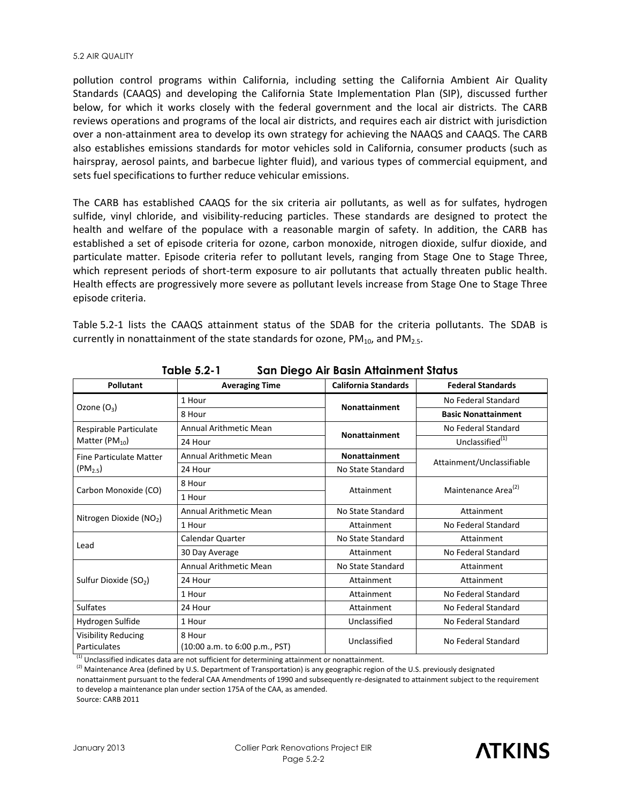#### 5.2 AIR QUALITY

pollution control programs within California, including setting the California Ambient Air Quality Standards (CAAQS) and developing the California State Implementation Plan (SIP), discussed further below, for which it works closely with the federal government and the local air districts. The CARB reviews operations and programs of the local air districts, and requires each air district with jurisdiction over a non-attainment area to develop its own strategy for achieving the NAAQS and CAAQS. The CARB also establishes emissions standards for motor vehicles sold in California, consumer products (such as hairspray, aerosol paints, and barbecue lighter fluid), and various types of commercial equipment, and sets fuel specifications to further reduce vehicular emissions.

The CARB has established CAAQS for the six criteria air pollutants, as well as for sulfates, hydrogen sulfide, vinyl chloride, and visibility-reducing particles. These standards are designed to protect the health and welfare of the populace with a reasonable margin of safety. In addition, the CARB has established a set of episode criteria for ozone, carbon monoxide, nitrogen dioxide, sulfur dioxide, and particulate matter. Episode criteria refer to pollutant levels, ranging from Stage One to Stage Three, which represent periods of short-term exposure to air pollutants that actually threaten public health. Health effects are progressively more severe as pollutant levels increase from Stage One to Stage Three episode criteria.

Table 5.2-1 lists the CAAQS attainment status of the SDAB for the criteria pollutants. The SDAB is currently in nonattainment of the state standards for ozone,  $PM_{10}$ , and  $PM_{2.5}$ .

| <b>Pollutant</b>                           | <b>Averaging Time</b>                    | <b>California Standards</b> | <b>Federal Standards</b>        |
|--------------------------------------------|------------------------------------------|-----------------------------|---------------------------------|
|                                            | 1 Hour                                   | <b>Nonattainment</b>        | No Federal Standard             |
| Ozone $(O_3)$                              | 8 Hour                                   |                             | <b>Basic Nonattainment</b>      |
| Respirable Particulate                     | Annual Arithmetic Mean                   | <b>Nonattainment</b>        | No Federal Standard             |
| Matter ( $PM_{10}$ )                       | 24 Hour                                  |                             | Unclassified <sup>(1)</sup>     |
| Fine Particulate Matter                    | Annual Arithmetic Mean                   | <b>Nonattainment</b>        |                                 |
| $(PM_{2.5})$                               | 24 Hour                                  | No State Standard           | Attainment/Unclassifiable       |
|                                            | 8 Hour                                   | Attainment                  | Maintenance Area <sup>(2)</sup> |
| Carbon Monoxide (CO)                       | 1 Hour                                   |                             |                                 |
|                                            | Annual Arithmetic Mean                   | No State Standard           | Attainment                      |
| Nitrogen Dioxide (NO <sub>2</sub> )        | 1 Hour                                   | Attainment                  | No Federal Standard             |
|                                            | Calendar Quarter                         | No State Standard           | Attainment                      |
| Lead                                       | 30 Day Average                           | Attainment                  | No Federal Standard             |
|                                            | Annual Arithmetic Mean                   | No State Standard           | Attainment                      |
| Sulfur Dioxide (SO <sub>2</sub> )          | 24 Hour                                  | Attainment                  | Attainment                      |
|                                            | 1 Hour                                   | Attainment                  | No Federal Standard             |
| Sulfates                                   | 24 Hour                                  | Attainment                  | No Federal Standard             |
| Hydrogen Sulfide                           | 1 Hour                                   | Unclassified                | No Federal Standard             |
| <b>Visibility Reducing</b><br>Particulates | 8 Hour<br>(10:00 a.m. to 6:00 p.m., PST) | Unclassified                | No Federal Standard             |

**Table 5.2-1 San Diego Air Basin Attainment Status** 

 $<sup>(1)</sup>$  Unclassified indicates data are not sufficient for determining attainment or nonattainment.</sup>

<sup>(2)</sup> Maintenance Area (defined by U.S. Department of Transportation) is any geographic region of the U.S. previously designated nonattainment pursuant to the federal CAA Amendments of 1990 and subsequently re-designated to attainment subject to the requirement to develop a maintenance plan under section 175A of the CAA, as amended. Source: CARB 2011

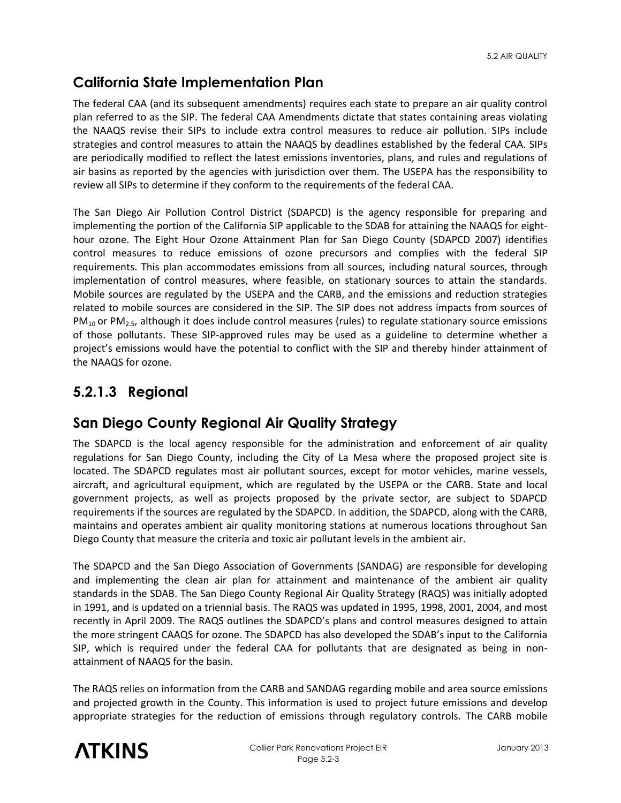## **California State Implementation Plan**

The federal CAA (and its subsequent amendments) requires each state to prepare an air quality control plan referred to as the SIP. The federal CAA Amendments dictate that states containing areas violating the NAAQS revise their SIPs to include extra control measures to reduce air pollution. SIPs include strategies and control measures to attain the NAAQS by deadlines established by the federal CAA. SIPs are periodically modified to reflect the latest emissions inventories, plans, and rules and regulations of air basins as reported by the agencies with jurisdiction over them. The USEPA has the responsibility to review all SIPs to determine if they conform to the requirements of the federal CAA.

The San Diego Air Pollution Control District (SDAPCD) is the agency responsible for preparing and implementing the portion of the California SIP applicable to the SDAB for attaining the NAAQS for eighthour ozone. The Eight Hour Ozone Attainment Plan for San Diego County (SDAPCD 2007) identifies control measures to reduce emissions of ozone precursors and complies with the federal SIP requirements. This plan accommodates emissions from all sources, including natural sources, through implementation of control measures, where feasible, on stationary sources to attain the standards. Mobile sources are regulated by the USEPA and the CARB, and the emissions and reduction strategies related to mobile sources are considered in the SIP. The SIP does not address impacts from sources of  $PM_{10}$  or PM<sub>2.5</sub>, although it does include control measures (rules) to regulate stationary source emissions of those pollutants. These SIP-approved rules may be used as a guideline to determine whether a project's emissions would have the potential to conflict with the SIP and thereby hinder attainment of the NAAQS for ozone.

## **5.2.1.3 Regional**

## **San Diego County Regional Air Quality Strategy**

The SDAPCD is the local agency responsible for the administration and enforcement of air quality regulations for San Diego County, including the City of La Mesa where the proposed project site is located. The SDAPCD regulates most air pollutant sources, except for motor vehicles, marine vessels, aircraft, and agricultural equipment, which are regulated by the USEPA or the CARB. State and local government projects, as well as projects proposed by the private sector, are subject to SDAPCD requirements if the sources are regulated by the SDAPCD. In addition, the SDAPCD, along with the CARB, maintains and operates ambient air quality monitoring stations at numerous locations throughout San Diego County that measure the criteria and toxic air pollutant levels in the ambient air.

The SDAPCD and the San Diego Association of Governments (SANDAG) are responsible for developing and implementing the clean air plan for attainment and maintenance of the ambient air quality standards in the SDAB. The San Diego County Regional Air Quality Strategy (RAQS) was initially adopted in 1991, and is updated on a triennial basis. The RAQS was updated in 1995, 1998, 2001, 2004, and most recently in April 2009. The RAQS outlines the SDAPCD's plans and control measures designed to attain the more stringent CAAQS for ozone. The SDAPCD has also developed the SDAB's input to the California SIP, which is required under the federal CAA for pollutants that are designated as being in nonattainment of NAAQS for the basin.

The RAQS relies on information from the CARB and SANDAG regarding mobile and area source emissions and projected growth in the County. This information is used to project future emissions and develop appropriate strategies for the reduction of emissions through regulatory controls. The CARB mobile

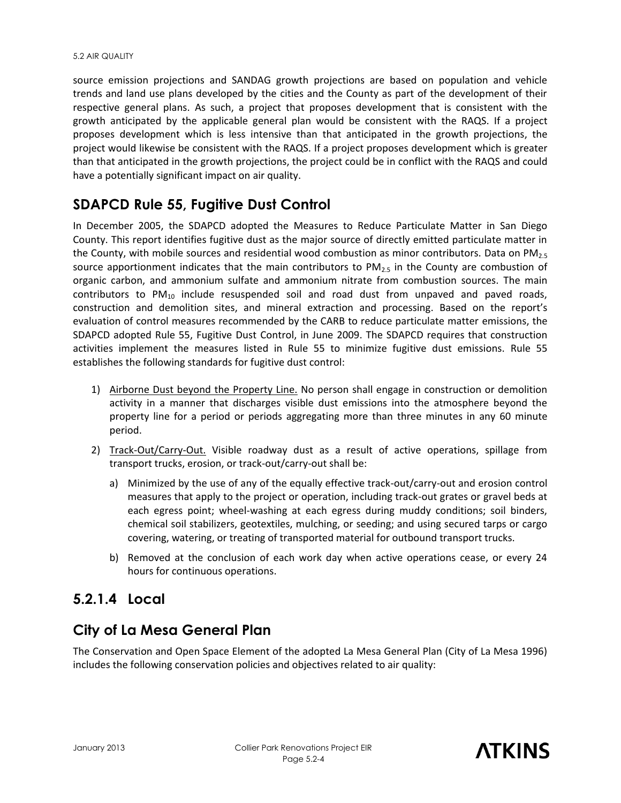source emission projections and SANDAG growth projections are based on population and vehicle trends and land use plans developed by the cities and the County as part of the development of their respective general plans. As such, a project that proposes development that is consistent with the growth anticipated by the applicable general plan would be consistent with the RAQS. If a project proposes development which is less intensive than that anticipated in the growth projections, the project would likewise be consistent with the RAQS. If a project proposes development which is greater than that anticipated in the growth projections, the project could be in conflict with the RAQS and could have a potentially significant impact on air quality.

## **SDAPCD Rule 55, Fugitive Dust Control**

In December 2005, the SDAPCD adopted the Measures to Reduce Particulate Matter in San Diego County. This report identifies fugitive dust as the major source of directly emitted particulate matter in the County, with mobile sources and residential wood combustion as minor contributors. Data on PM<sub>2.5</sub> source apportionment indicates that the main contributors to  $PM_{2.5}$  in the County are combustion of organic carbon, and ammonium sulfate and ammonium nitrate from combustion sources. The main contributors to  $PM_{10}$  include resuspended soil and road dust from unpaved and paved roads, construction and demolition sites, and mineral extraction and processing. Based on the report's evaluation of control measures recommended by the CARB to reduce particulate matter emissions, the SDAPCD adopted Rule 55, Fugitive Dust Control, in June 2009. The SDAPCD requires that construction activities implement the measures listed in Rule 55 to minimize fugitive dust emissions. Rule 55 establishes the following standards for fugitive dust control:

- 1) Airborne Dust beyond the Property Line. No person shall engage in construction or demolition activity in a manner that discharges visible dust emissions into the atmosphere beyond the property line for a period or periods aggregating more than three minutes in any 60 minute period.
- 2) Track-Out/Carry-Out. Visible roadway dust as a result of active operations, spillage from transport trucks, erosion, or track-out/carry-out shall be:
	- a) Minimized by the use of any of the equally effective track-out/carry-out and erosion control measures that apply to the project or operation, including track-out grates or gravel beds at each egress point; wheel-washing at each egress during muddy conditions; soil binders, chemical soil stabilizers, geotextiles, mulching, or seeding; and using secured tarps or cargo covering, watering, or treating of transported material for outbound transport trucks.
	- b) Removed at the conclusion of each work day when active operations cease, or every 24 hours for continuous operations.

## **5.2.1.4 Local**

## **City of La Mesa General Plan**

The Conservation and Open Space Element of the adopted La Mesa General Plan (City of La Mesa 1996) includes the following conservation policies and objectives related to air quality:

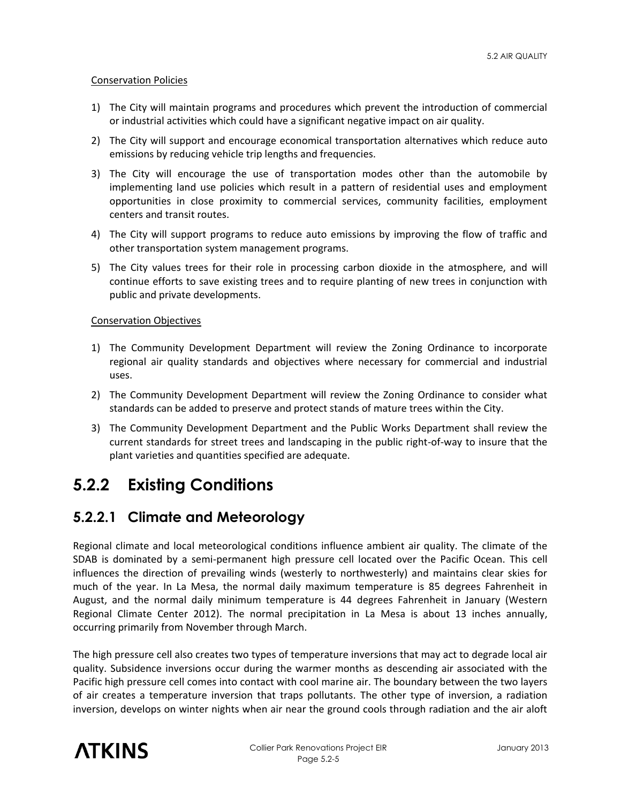#### Conservation Policies

- 1) The City will maintain programs and procedures which prevent the introduction of commercial or industrial activities which could have a significant negative impact on air quality.
- 2) The City will support and encourage economical transportation alternatives which reduce auto emissions by reducing vehicle trip lengths and frequencies.
- 3) The City will encourage the use of transportation modes other than the automobile by implementing land use policies which result in a pattern of residential uses and employment opportunities in close proximity to commercial services, community facilities, employment centers and transit routes.
- 4) The City will support programs to reduce auto emissions by improving the flow of traffic and other transportation system management programs.
- 5) The City values trees for their role in processing carbon dioxide in the atmosphere, and will continue efforts to save existing trees and to require planting of new trees in conjunction with public and private developments.

#### Conservation Objectives

- 1) The Community Development Department will review the Zoning Ordinance to incorporate regional air quality standards and objectives where necessary for commercial and industrial uses.
- 2) The Community Development Department will review the Zoning Ordinance to consider what standards can be added to preserve and protect stands of mature trees within the City.
- 3) The Community Development Department and the Public Works Department shall review the current standards for street trees and landscaping in the public right-of-way to insure that the plant varieties and quantities specified are adequate.

# **5.2.2 Existing Conditions**

## **5.2.2.1 Climate and Meteorology**

Regional climate and local meteorological conditions influence ambient air quality. The climate of the SDAB is dominated by a semi-permanent high pressure cell located over the Pacific Ocean. This cell influences the direction of prevailing winds (westerly to northwesterly) and maintains clear skies for much of the year. In La Mesa, the normal daily maximum temperature is 85 degrees Fahrenheit in August, and the normal daily minimum temperature is 44 degrees Fahrenheit in January (Western Regional Climate Center 2012). The normal precipitation in La Mesa is about 13 inches annually, occurring primarily from November through March.

The high pressure cell also creates two types of temperature inversions that may act to degrade local air quality. Subsidence inversions occur during the warmer months as descending air associated with the Pacific high pressure cell comes into contact with cool marine air. The boundary between the two layers of air creates a temperature inversion that traps pollutants. The other type of inversion, a radiation inversion, develops on winter nights when air near the ground cools through radiation and the air aloft

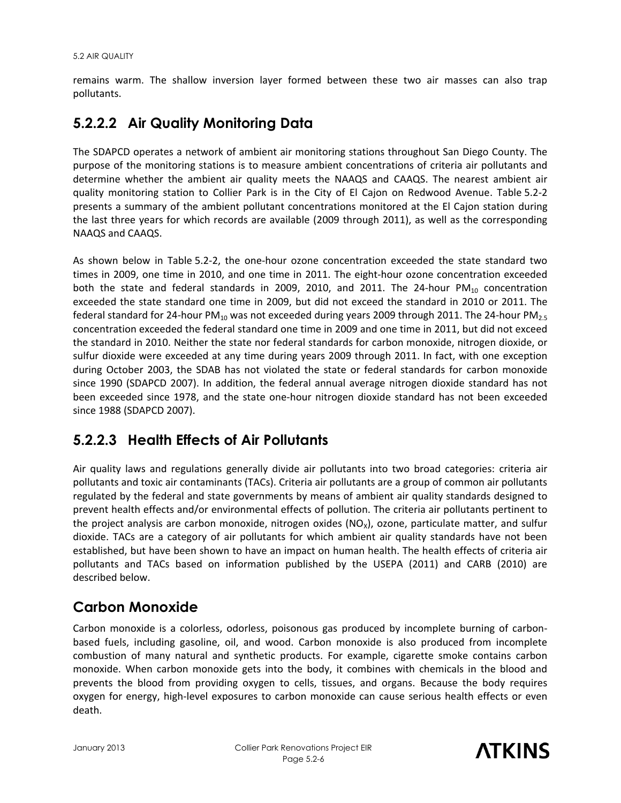remains warm. The shallow inversion layer formed between these two air masses can also trap pollutants.

## **5.2.2.2 Air Quality Monitoring Data**

The SDAPCD operates a network of ambient air monitoring stations throughout San Diego County. The purpose of the monitoring stations is to measure ambient concentrations of criteria air pollutants and determine whether the ambient air quality meets the NAAQS and CAAQS. The nearest ambient air quality monitoring station to Collier Park is in the City of El Cajon on Redwood Avenue. Table 5.2-2 presents a summary of the ambient pollutant concentrations monitored at the El Cajon station during the last three years for which records are available (2009 through 2011), as well as the corresponding NAAQS and CAAQS.

As shown below in Table 5.2-2, the one-hour ozone concentration exceeded the state standard two times in 2009, one time in 2010, and one time in 2011. The eight-hour ozone concentration exceeded both the state and federal standards in 2009, 2010, and 2011. The 24-hour  $PM_{10}$  concentration exceeded the state standard one time in 2009, but did not exceed the standard in 2010 or 2011. The federal standard for 24-hour PM<sub>10</sub> was not exceeded during years 2009 through 2011. The 24-hour PM<sub>2.5</sub> concentration exceeded the federal standard one time in 2009 and one time in 2011, but did not exceed the standard in 2010. Neither the state nor federal standards for carbon monoxide, nitrogen dioxide, or sulfur dioxide were exceeded at any time during years 2009 through 2011. In fact, with one exception during October 2003, the SDAB has not violated the state or federal standards for carbon monoxide since 1990 (SDAPCD 2007). In addition, the federal annual average nitrogen dioxide standard has not been exceeded since 1978, and the state one-hour nitrogen dioxide standard has not been exceeded since 1988 (SDAPCD 2007).

## **5.2.2.3 Health Effects of Air Pollutants**

Air quality laws and regulations generally divide air pollutants into two broad categories: criteria air pollutants and toxic air contaminants (TACs). Criteria air pollutants are a group of common air pollutants regulated by the federal and state governments by means of ambient air quality standards designed to prevent health effects and/or environmental effects of pollution. The criteria air pollutants pertinent to the project analysis are carbon monoxide, nitrogen oxides ( $NO<sub>X</sub>$ ), ozone, particulate matter, and sulfur dioxide. TACs are a category of air pollutants for which ambient air quality standards have not been established, but have been shown to have an impact on human health. The health effects of criteria air pollutants and TACs based on information published by the USEPA (2011) and CARB (2010) are described below.

## **Carbon Monoxide**

Carbon monoxide is a colorless, odorless, poisonous gas produced by incomplete burning of carbonbased fuels, including gasoline, oil, and wood. Carbon monoxide is also produced from incomplete combustion of many natural and synthetic products. For example, cigarette smoke contains carbon monoxide. When carbon monoxide gets into the body, it combines with chemicals in the blood and prevents the blood from providing oxygen to cells, tissues, and organs. Because the body requires oxygen for energy, high-level exposures to carbon monoxide can cause serious health effects or even death.

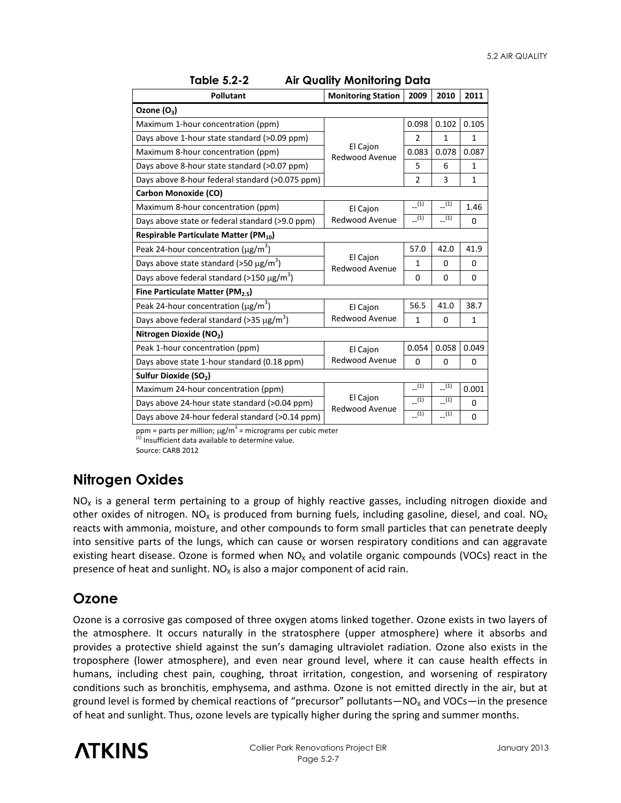| <b>Pollutant</b>                                           | <b>Monitoring Station</b>  | 2009           | 2010         | 2011         |  |  |  |  |
|------------------------------------------------------------|----------------------------|----------------|--------------|--------------|--|--|--|--|
| Ozone $(O_3)$                                              |                            |                |              |              |  |  |  |  |
| Maximum 1-hour concentration (ppm)                         |                            | 0.098          | 0.102        | 0.105        |  |  |  |  |
| Days above 1-hour state standard (>0.09 ppm)               |                            | $\overline{2}$ | $\mathbf{1}$ | $\mathbf{1}$ |  |  |  |  |
| Maximum 8-hour concentration (ppm)                         | El Cajon<br>Redwood Avenue | 0.083          | 0.078        | 0.087        |  |  |  |  |
| Days above 8-hour state standard (>0.07 ppm)               |                            | 5              | 6            | $\mathbf{1}$ |  |  |  |  |
| Days above 8-hour federal standard (>0.075 ppm)            |                            | $\overline{2}$ | 3            | $\mathbf{1}$ |  |  |  |  |
| <b>Carbon Monoxide (CO)</b>                                |                            |                |              |              |  |  |  |  |
| Maximum 8-hour concentration (ppm)                         | El Cajon                   | (1)            | (1)          | 1.46         |  |  |  |  |
| Days above state or federal standard (>9.0 ppm)            | Redwood Avenue             | (1)            | (1)          | $\Omega$     |  |  |  |  |
| Respirable Particulate Matter (PM10)                       |                            |                |              |              |  |  |  |  |
| Peak 24-hour concentration ( $\mu$ g/m <sup>3</sup> )      |                            | 57.0           | 42.0         | 41.9         |  |  |  |  |
| Days above state standard (>50 $\mu$ g/m <sup>3</sup> )    | El Cajon<br>Redwood Avenue | $\mathbf{1}$   | $\Omega$     | $\Omega$     |  |  |  |  |
| Days above federal standard (>150 $\mu$ g/m <sup>3</sup> ) |                            | 0              | $\Omega$     | $\Omega$     |  |  |  |  |
| Fine Particulate Matter (PM <sub>2.5</sub> )               |                            |                |              |              |  |  |  |  |
| Peak 24-hour concentration ( $\mu$ g/m <sup>3</sup> )      | <b>El Cajon</b>            | 56.5           | 41.0         | 38.7         |  |  |  |  |
| Days above federal standard (>35 $\mu$ g/m <sup>3</sup> )  | Redwood Avenue             | $\mathbf{1}$   | 0            | $\mathbf{1}$ |  |  |  |  |
| Nitrogen Dioxide (NO2)                                     |                            |                |              |              |  |  |  |  |
| Peak 1-hour concentration (ppm)                            | El Cajon                   | 0.054          | 0.058        | 0.049        |  |  |  |  |
| Days above state 1-hour standard (0.18 ppm)                | Redwood Avenue             | $\mathbf 0$    | 0            | $\Omega$     |  |  |  |  |
| Sulfur Dioxide (SO <sub>2</sub> )                          |                            |                |              |              |  |  |  |  |
| Maximum 24-hour concentration (ppm)                        |                            | (1)            | (1)          | 0.001        |  |  |  |  |
| Days above 24-hour state standard (>0.04 ppm)              | El Cajon<br>Redwood Avenue | (1)            | (1)          | $\Omega$     |  |  |  |  |
| Days above 24-hour federal standard (>0.14 ppm)            |                            | (1)            | (1)          | $\mathbf 0$  |  |  |  |  |

| Table 5.2-2 | <b>Air Quality Monitoring Data</b> |  |
|-------------|------------------------------------|--|
|-------------|------------------------------------|--|

ppm = parts per million;  $\mu$ g/m<sup>3</sup> = micrograms per cubic meter

Insufficient data available to determine value.

Source: CARB 2012

## **Nitrogen Oxides**

 $NO<sub>x</sub>$  is a general term pertaining to a group of highly reactive gasses, including nitrogen dioxide and other oxides of nitrogen. NO<sub>x</sub> is produced from burning fuels, including gasoline, diesel, and coal. NO<sub>x</sub> reacts with ammonia, moisture, and other compounds to form small particles that can penetrate deeply into sensitive parts of the lungs, which can cause or worsen respiratory conditions and can aggravate existing heart disease. Ozone is formed when  $NO<sub>x</sub>$  and volatile organic compounds (VOCs) react in the presence of heat and sunlight.  $NO<sub>x</sub>$  is also a major component of acid rain.

## **Ozone**

Ozone is a corrosive gas composed of three oxygen atoms linked together. Ozone exists in two layers of the atmosphere. It occurs naturally in the stratosphere (upper atmosphere) where it absorbs and provides a protective shield against the sun's damaging ultraviolet radiation. Ozone also exists in the troposphere (lower atmosphere), and even near ground level, where it can cause health effects in humans, including chest pain, coughing, throat irritation, congestion, and worsening of respiratory conditions such as bronchitis, emphysema, and asthma. Ozone is not emitted directly in the air, but at ground level is formed by chemical reactions of "precursor" pollutants—NO<sub>x</sub> and VOCs—in the presence of heat and sunlight. Thus, ozone levels are typically higher during the spring and summer months.

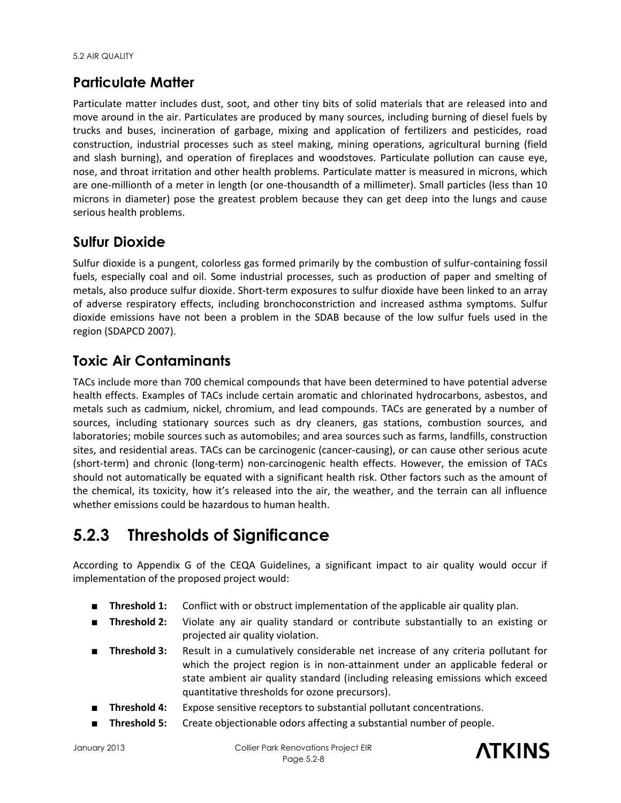## **Particulate Matter**

Particulate matter includes dust, soot, and other tiny bits of solid materials that are released into and move around in the air. Particulates are produced by many sources, including burning of diesel fuels by trucks and buses, incineration of garbage, mixing and application of fertilizers and pesticides, road construction, industrial processes such as steel making, mining operations, agricultural burning (field and slash burning), and operation of fireplaces and woodstoves. Particulate pollution can cause eye, nose, and throat irritation and other health problems. Particulate matter is measured in microns, which are one-millionth of a meter in length (or one-thousandth of a millimeter). Small particles (less than 10 microns in diameter) pose the greatest problem because they can get deep into the lungs and cause serious health problems.

## **Sulfur Dioxide**

Sulfur dioxide is a pungent, colorless gas formed primarily by the combustion of sulfur-containing fossil fuels, especially coal and oil. Some industrial processes, such as production of paper and smelting of metals, also produce sulfur dioxide. Short-term exposures to sulfur dioxide have been linked to an array of adverse respiratory effects, including bronchoconstriction and increased asthma symptoms. Sulfur dioxide emissions have not been a problem in the SDAB because of the low sulfur fuels used in the region (SDAPCD 2007).

## **Toxic Air Contaminants**

TACs include more than 700 chemical compounds that have been determined to have potential adverse health effects. Examples of TACs include certain aromatic and chlorinated hydrocarbons, asbestos, and metals such as cadmium, nickel, chromium, and lead compounds. TACs are generated by a number of sources, including stationary sources such as dry cleaners, gas stations, combustion sources, and laboratories; mobile sources such as automobiles; and area sources such as farms, landfills, construction sites, and residential areas. TACs can be carcinogenic (cancer-causing), or can cause other serious acute (short-term) and chronic (long-term) non-carcinogenic health effects. However, the emission of TACs should not automatically be equated with a significant health risk. Other factors such as the amount of the chemical, its toxicity, how it's released into the air, the weather, and the terrain can all influence whether emissions could be hazardous to human health.

# **5.2.3 Thresholds of Significance**

According to Appendix G of the CEQA Guidelines, a significant impact to air quality would occur if implementation of the proposed project would:

- **Threshold 1:** Conflict with or obstruct implementation of the applicable air quality plan.
- **Threshold 2:** Violate any air quality standard or contribute substantially to an existing or projected air quality violation.
- **Threshold 3:** Result in a cumulatively considerable net increase of any criteria pollutant for which the project region is in non-attainment under an applicable federal or state ambient air quality standard (including releasing emissions which exceed quantitative thresholds for ozone precursors).
- **Threshold 4:** Expose sensitive receptors to substantial pollutant concentrations.
- **Threshold 5:** Create objectionable odors affecting a substantial number of people.

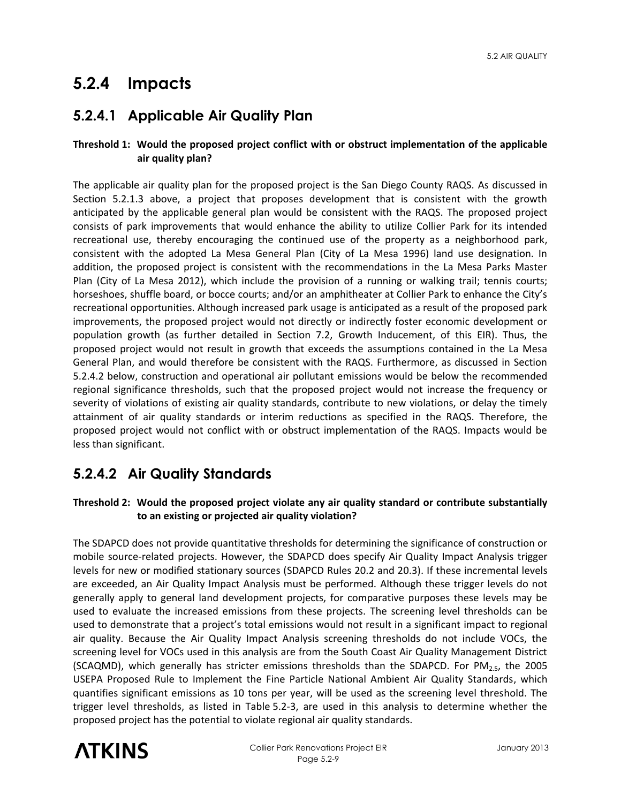# **5.2.4 Impacts**

## **5.2.4.1 Applicable Air Quality Plan**

### **Threshold 1: Would the proposed project conflict with or obstruct implementation of the applicable air quality plan?**

The applicable air quality plan for the proposed project is the San Diego County RAQS. As discussed in Section 5.2.1.3 above, a project that proposes development that is consistent with the growth anticipated by the applicable general plan would be consistent with the RAQS. The proposed project consists of park improvements that would enhance the ability to utilize Collier Park for its intended recreational use, thereby encouraging the continued use of the property as a neighborhood park, consistent with the adopted La Mesa General Plan (City of La Mesa 1996) land use designation. In addition, the proposed project is consistent with the recommendations in the La Mesa Parks Master Plan (City of La Mesa 2012), which include the provision of a running or walking trail; tennis courts; horseshoes, shuffle board, or bocce courts; and/or an amphitheater at Collier Park to enhance the City's recreational opportunities. Although increased park usage is anticipated as a result of the proposed park improvements, the proposed project would not directly or indirectly foster economic development or population growth (as further detailed in Section 7.2, Growth Inducement, of this EIR). Thus, the proposed project would not result in growth that exceeds the assumptions contained in the La Mesa General Plan, and would therefore be consistent with the RAQS. Furthermore, as discussed in Section 5.2.4.2 below, construction and operational air pollutant emissions would be below the recommended regional significance thresholds, such that the proposed project would not increase the frequency or severity of violations of existing air quality standards, contribute to new violations, or delay the timely attainment of air quality standards or interim reductions as specified in the RAQS. Therefore, the proposed project would not conflict with or obstruct implementation of the RAQS. Impacts would be less than significant.

## **5.2.4.2 Air Quality Standards**

### **Threshold 2: Would the proposed project violate any air quality standard or contribute substantially to an existing or projected air quality violation?**

The SDAPCD does not provide quantitative thresholds for determining the significance of construction or mobile source-related projects. However, the SDAPCD does specify Air Quality Impact Analysis trigger levels for new or modified stationary sources (SDAPCD Rules 20.2 and 20.3). If these incremental levels are exceeded, an Air Quality Impact Analysis must be performed. Although these trigger levels do not generally apply to general land development projects, for comparative purposes these levels may be used to evaluate the increased emissions from these projects. The screening level thresholds can be used to demonstrate that a project's total emissions would not result in a significant impact to regional air quality. Because the Air Quality Impact Analysis screening thresholds do not include VOCs, the screening level for VOCs used in this analysis are from the South Coast Air Quality Management District (SCAQMD), which generally has stricter emissions thresholds than the SDAPCD. For PM $_{2.5}$ , the 2005 USEPA Proposed Rule to Implement the Fine Particle National Ambient Air Quality Standards, which quantifies significant emissions as 10 tons per year, will be used as the screening level threshold. The trigger level thresholds, as listed in Table 5.2-3, are used in this analysis to determine whether the proposed project has the potential to violate regional air quality standards.

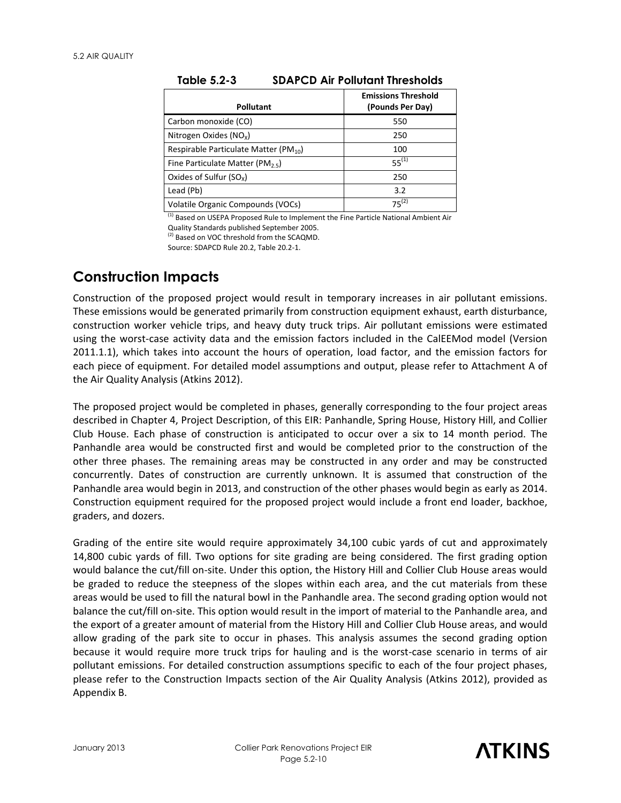| <b>Pollutant</b>                            | <b>Emissions Threshold</b><br>(Pounds Per Day) |
|---------------------------------------------|------------------------------------------------|
| Carbon monoxide (CO)                        | 550                                            |
| Nitrogen Oxides ( $NO_x$ )                  | 250                                            |
| Respirable Particulate Matter (PM $_{10}$ ) | 100                                            |
| Fine Particulate Matter (PM <sub>25</sub> ) | $55^{(1)}$                                     |
| Oxides of Sulfur $(SO_x)$                   | 250                                            |
| Lead (Pb)                                   | 3.2                                            |
| Volatile Organic Compounds (VOCs)           | $75^{(2)}$                                     |

<sup>(1)</sup> Based on USEPA Proposed Rule to Implement the Fine Particle National Ambient Air Quality Standards published September 2005.

<sup>(2)</sup> Based on VOC threshold from the SCAQMD.

Source: SDAPCD Rule 20.2, Table 20.2-1.

## **Construction Impacts**

Construction of the proposed project would result in temporary increases in air pollutant emissions. These emissions would be generated primarily from construction equipment exhaust, earth disturbance, construction worker vehicle trips, and heavy duty truck trips. Air pollutant emissions were estimated using the worst-case activity data and the emission factors included in the CalEEMod model (Version 2011.1.1), which takes into account the hours of operation, load factor, and the emission factors for each piece of equipment. For detailed model assumptions and output, please refer to Attachment A of the Air Quality Analysis (Atkins 2012).

The proposed project would be completed in phases, generally corresponding to the four project areas described in Chapter 4, Project Description, of this EIR: Panhandle, Spring House, History Hill, and Collier Club House. Each phase of construction is anticipated to occur over a six to 14 month period. The Panhandle area would be constructed first and would be completed prior to the construction of the other three phases. The remaining areas may be constructed in any order and may be constructed concurrently. Dates of construction are currently unknown. It is assumed that construction of the Panhandle area would begin in 2013, and construction of the other phases would begin as early as 2014. Construction equipment required for the proposed project would include a front end loader, backhoe, graders, and dozers.

Grading of the entire site would require approximately 34,100 cubic yards of cut and approximately 14,800 cubic yards of fill. Two options for site grading are being considered. The first grading option would balance the cut/fill on-site. Under this option, the History Hill and Collier Club House areas would be graded to reduce the steepness of the slopes within each area, and the cut materials from these areas would be used to fill the natural bowl in the Panhandle area. The second grading option would not balance the cut/fill on-site. This option would result in the import of material to the Panhandle area, and the export of a greater amount of material from the History Hill and Collier Club House areas, and would allow grading of the park site to occur in phases. This analysis assumes the second grading option because it would require more truck trips for hauling and is the worst-case scenario in terms of air pollutant emissions. For detailed construction assumptions specific to each of the four project phases, please refer to the Construction Impacts section of the Air Quality Analysis (Atkins 2012), provided as Appendix B.

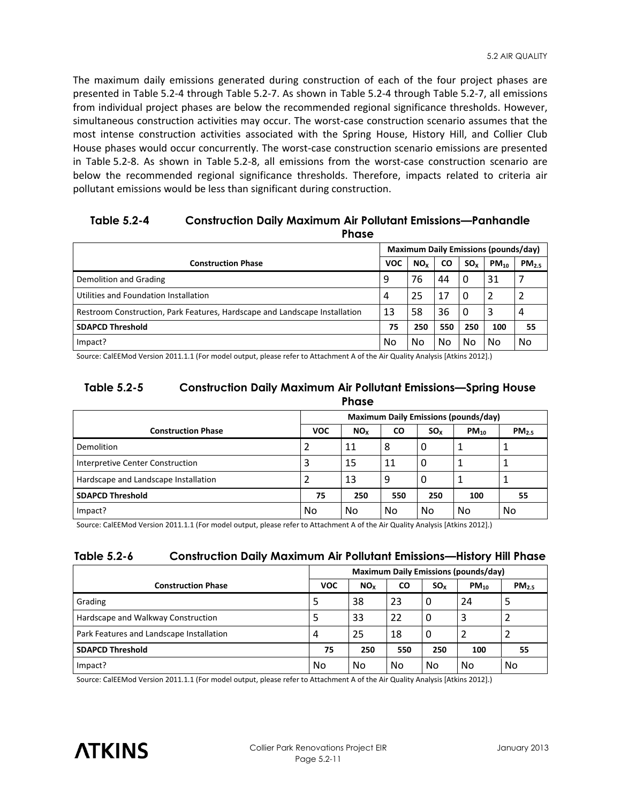The maximum daily emissions generated during construction of each of the four project phases are presented in Table 5.2-4 through Table 5.2-7. As shown in Table 5.2-4 through Table 5.2-7, all emissions from individual project phases are below the recommended regional significance thresholds. However, simultaneous construction activities may occur. The worst-case construction scenario assumes that the most intense construction activities associated with the Spring House, History Hill, and Collier Club House phases would occur concurrently. The worst-case construction scenario emissions are presented in Table 5.2-8. As shown in Table 5.2-8, all emissions from the worst-case construction scenario are below the recommended regional significance thresholds. Therefore, impacts related to criteria air pollutant emissions would be less than significant during construction.

#### **Table 5.2-4 Construction Daily Maximum Air Pollutant Emissions—Panhandle Phase**

|                                                                            | <b>Maximum Daily Emissions (pounds/day)</b> |                 |           |                 |           |                   |
|----------------------------------------------------------------------------|---------------------------------------------|-----------------|-----------|-----------------|-----------|-------------------|
| <b>Construction Phase</b>                                                  | <b>VOC</b>                                  | NO <sub>x</sub> | <b>CO</b> | SO <sub>x</sub> | $PM_{10}$ | PM <sub>2.5</sub> |
| Demolition and Grading                                                     | 9                                           | 76              | 44        | 0               | 31        |                   |
| Utilities and Foundation Installation                                      | 4                                           | 25              | 17        | 0               |           |                   |
| Restroom Construction, Park Features, Hardscape and Landscape Installation | 13                                          | 58              | 36        | 0               | 3         | 4                 |
| <b>SDAPCD Threshold</b>                                                    | 75                                          | 250             | 550       | 250             | 100       | 55                |
| Impact?                                                                    | No                                          | No              | No        | No              | No        | No                |

Source: CalEEMod Version 2011.1.1 (For model output, please refer to Attachment A of the Air Quality Analysis [Atkins 2012].)

#### **Table 5.2-5 Construction Daily Maximum Air Pollutant Emissions—Spring House Phase**

|                                      | <b>Maximum Daily Emissions (pounds/day)</b> |                 |           |          |           |            |  |
|--------------------------------------|---------------------------------------------|-----------------|-----------|----------|-----------|------------|--|
| <b>Construction Phase</b>            | <b>VOC</b>                                  | NO <sub>x</sub> | <b>CO</b> | $SO_{x}$ | $PM_{10}$ | $PM_{2.5}$ |  |
| Demolition                           |                                             | 11              | 8         | O        |           |            |  |
| Interpretive Center Construction     | 3                                           | 15              | 11        | 0        |           |            |  |
| Hardscape and Landscape Installation |                                             | 13              | 9         | 0        |           |            |  |
| <b>SDAPCD Threshold</b>              | 75                                          | 250             | 550       | 250      | 100       | 55         |  |
| Impact?                              | No                                          | No              | No        | No       | No        | No         |  |

Source: CalEEMod Version 2011.1.1 (For model output, please refer to Attachment A of the Air Quality Analysis [Atkins 2012].)

### **Table 5.2-6 Construction Daily Maximum Air Pollutant Emissions—History Hill Phase**

|                                          | <b>Maximum Daily Emissions (pounds/day)</b> |                 |           |          |           |                   |  |
|------------------------------------------|---------------------------------------------|-----------------|-----------|----------|-----------|-------------------|--|
| <b>Construction Phase</b>                | <b>VOC</b>                                  | NO <sub>x</sub> | <b>CO</b> | $SO_{x}$ | $PM_{10}$ | PM <sub>2.5</sub> |  |
| Grading                                  |                                             | 38              | 23        | 0        | 24        | -5                |  |
| Hardscape and Walkway Construction       |                                             | 33              | 22        | 0        |           |                   |  |
| Park Features and Landscape Installation | 4                                           | 25              | 18        | 0        |           |                   |  |
| <b>SDAPCD Threshold</b>                  | 75                                          | 250             | 550       | 250      | 100       | 55                |  |
| Impact?                                  | No                                          | No              | No        | No       | No        | No                |  |

Source: CalEEMod Version 2011.1.1 (For model output, please refer to Attachment A of the Air Quality Analysis [Atkins 2012].)

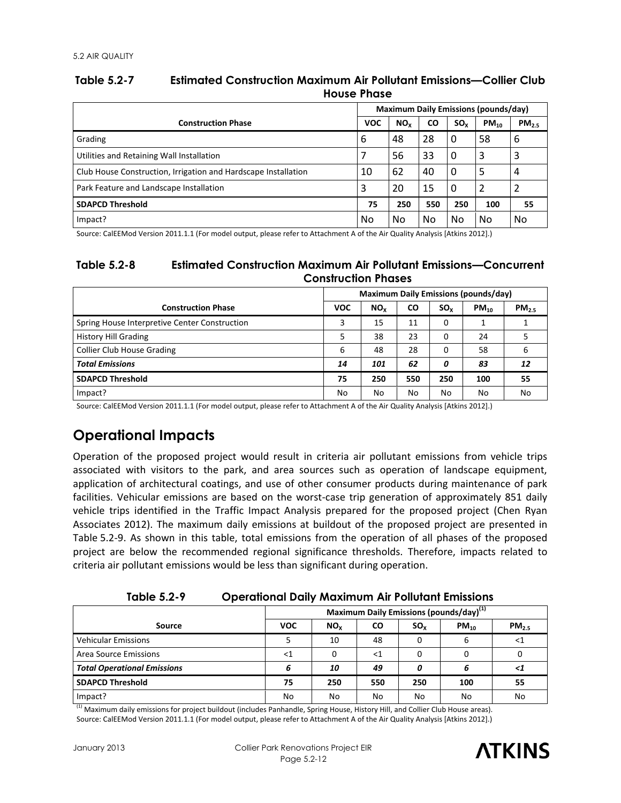### **Table 5.2-7 Estimated Construction Maximum Air Pollutant Emissions—Collier Club House Phase**

|                                                                | <b>Maximum Daily Emissions (pounds/day)</b> |                 |           |          |           |            |
|----------------------------------------------------------------|---------------------------------------------|-----------------|-----------|----------|-----------|------------|
| <b>Construction Phase</b>                                      | <b>VOC</b>                                  | NO <sub>x</sub> | <b>CO</b> | $SO_{x}$ | $PM_{10}$ | $PM_{2.5}$ |
| Grading                                                        | 6                                           | 48              | 28        | 0        | 58        | 6          |
| Utilities and Retaining Wall Installation                      |                                             | 56              | 33        | 0        | 3         | 3          |
| Club House Construction, Irrigation and Hardscape Installation | 10                                          | 62              | 40        | $\Omega$ | 5         | 4          |
| Park Feature and Landscape Installation                        | 3                                           | 20              | 15        | $\Omega$ | 2         |            |
| <b>SDAPCD Threshold</b>                                        | 75                                          | 250             | 550       | 250      | 100       | 55         |
| Impact?                                                        | No                                          | No              | No        | No       | No        | No         |

Source: CalEEMod Version 2011.1.1 (For model output, please refer to Attachment A of the Air Quality Analysis [Atkins 2012].)

### **Table 5.2-8 Estimated Construction Maximum Air Pollutant Emissions—Concurrent Construction Phases**

|                                               | <b>Maximum Daily Emissions (pounds/day)</b> |                 |           |          |           |            |  |
|-----------------------------------------------|---------------------------------------------|-----------------|-----------|----------|-----------|------------|--|
| <b>Construction Phase</b>                     | <b>VOC</b>                                  | NO <sub>x</sub> | <b>CO</b> | $SO_{x}$ | $PM_{10}$ | $PM_{2.5}$ |  |
| Spring House Interpretive Center Construction |                                             | 15              | 11        | 0        |           |            |  |
| <b>History Hill Grading</b>                   | 5                                           | 38              | 23        | 0        | 24        |            |  |
| <b>Collier Club House Grading</b>             | 6                                           | 48              | 28        | 0        | 58        | 6          |  |
| <b>Total Emissions</b>                        | 14                                          | 101             | 62        | 0        | 83        | 12         |  |
| <b>SDAPCD Threshold</b>                       | 75                                          | 250             | 550       | 250      | 100       | 55         |  |
| Impact?                                       | No                                          | No              | No        | No       | No        | No         |  |

Source: CalEEMod Version 2011.1.1 (For model output, please refer to Attachment A of the Air Quality Analysis [Atkins 2012].)

## **Operational Impacts**

Operation of the proposed project would result in criteria air pollutant emissions from vehicle trips associated with visitors to the park, and area sources such as operation of landscape equipment, application of architectural coatings, and use of other consumer products during maintenance of park facilities. Vehicular emissions are based on the worst-case trip generation of approximately 851 daily vehicle trips identified in the Traffic Impact Analysis prepared for the proposed project (Chen Ryan Associates 2012). The maximum daily emissions at buildout of the proposed project are presented in Table 5.2-9. As shown in this table, total emissions from the operation of all phases of the proposed project are below the recommended regional significance thresholds. Therefore, impacts related to criteria air pollutant emissions would be less than significant during operation.

**Table 5.2-9 Operational Daily Maximum Air Pollutant Emissions** 

|                                    | Maximum Daily Emissions (pounds/day) <sup>(1)</sup> |                 |           |          |           |            |  |  |
|------------------------------------|-----------------------------------------------------|-----------------|-----------|----------|-----------|------------|--|--|
| Source                             | <b>VOC</b>                                          | NO <sub>x</sub> | <b>CO</b> | $SO_{x}$ | $PM_{10}$ | $PM_{2.5}$ |  |  |
| <b>Vehicular Emissions</b>         |                                                     | 10              | 48        |          | 6         | $<$ 1      |  |  |
| Area Source Emissions              | <1                                                  |                 | $<$ 1     |          |           |            |  |  |
| <b>Total Operational Emissions</b> |                                                     | 10              | 49        |          |           | <1         |  |  |
| <b>SDAPCD Threshold</b>            | 75                                                  | 250             | 550       | 250      | 100       | 55         |  |  |
| Impact?                            | No                                                  | No              | No        | No       | No        | No         |  |  |

<sup>(1)</sup> Maximum daily emissions for project buildout (includes Panhandle, Spring House, History Hill, and Collier Club House areas). Source: CalEEMod Version 2011.1.1 (For model output, please refer to Attachment A of the Air Quality Analysis [Atkins 2012].)

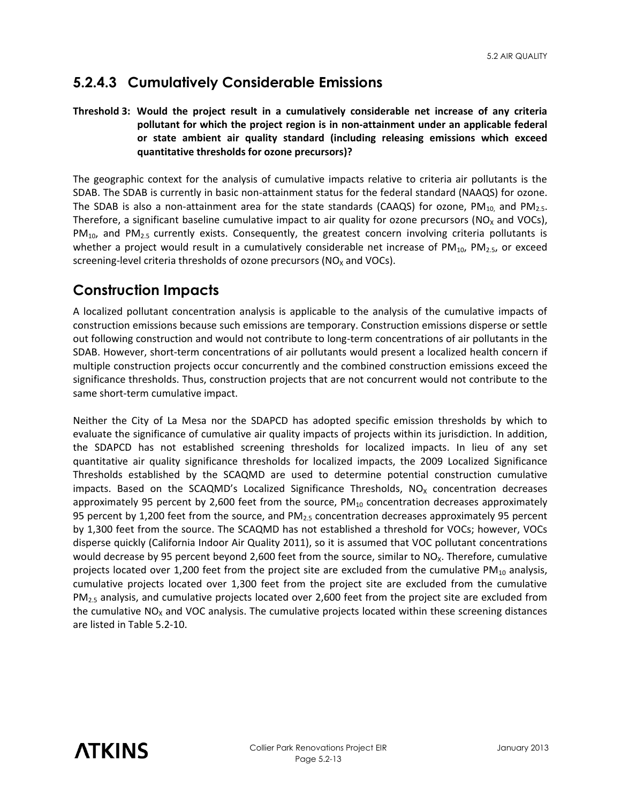## **5.2.4.3 Cumulatively Considerable Emissions**

### **Threshold 3: Would the project result in a cumulatively considerable net increase of any criteria pollutant for which the project region is in non-attainment under an applicable federal or state ambient air quality standard (including releasing emissions which exceed quantitative thresholds for ozone precursors)?**

The geographic context for the analysis of cumulative impacts relative to criteria air pollutants is the SDAB. The SDAB is currently in basic non-attainment status for the federal standard (NAAQS) for ozone. The SDAB is also a non-attainment area for the state standards (CAAQS) for ozone, PM<sub>10,</sub> and PM<sub>2.5</sub>. Therefore, a significant baseline cumulative impact to air quality for ozone precursors ( $NO<sub>X</sub>$  and VOCs),  $PM_{10}$ , and  $PM_{2.5}$  currently exists. Consequently, the greatest concern involving criteria pollutants is whether a project would result in a cumulatively considerable net increase of  $PM_{10}$ ,  $PM_{2.5}$ , or exceed screening-level criteria thresholds of ozone precursors ( $NO<sub>x</sub>$  and  $VOCs$ ).

## **Construction Impacts**

A localized pollutant concentration analysis is applicable to the analysis of the cumulative impacts of construction emissions because such emissions are temporary. Construction emissions disperse or settle out following construction and would not contribute to long-term concentrations of air pollutants in the SDAB. However, short-term concentrations of air pollutants would present a localized health concern if multiple construction projects occur concurrently and the combined construction emissions exceed the significance thresholds. Thus, construction projects that are not concurrent would not contribute to the same short-term cumulative impact.

Neither the City of La Mesa nor the SDAPCD has adopted specific emission thresholds by which to evaluate the significance of cumulative air quality impacts of projects within its jurisdiction. In addition, the SDAPCD has not established screening thresholds for localized impacts. In lieu of any set quantitative air quality significance thresholds for localized impacts, the 2009 Localized Significance Thresholds established by the SCAQMD are used to determine potential construction cumulative impacts. Based on the SCAQMD's Localized Significance Thresholds,  $NO<sub>x</sub>$  concentration decreases approximately 95 percent by 2,600 feet from the source,  $PM_{10}$  concentration decreases approximately 95 percent by 1,200 feet from the source, and PM<sub>2.5</sub> concentration decreases approximately 95 percent by 1,300 feet from the source. The SCAQMD has not established a threshold for VOCs; however, VOCs disperse quickly (California Indoor Air Quality 2011), so it is assumed that VOC pollutant concentrations would decrease by 95 percent beyond 2,600 feet from the source, similar to  $NO<sub>X</sub>$ . Therefore, cumulative projects located over 1,200 feet from the project site are excluded from the cumulative  $PM_{10}$  analysis, cumulative projects located over 1,300 feet from the project site are excluded from the cumulative  $PM<sub>2.5</sub>$  analysis, and cumulative projects located over 2,600 feet from the project site are excluded from the cumulative  $NO<sub>x</sub>$  and VOC analysis. The cumulative projects located within these screening distances are listed in Table 5.2-10.

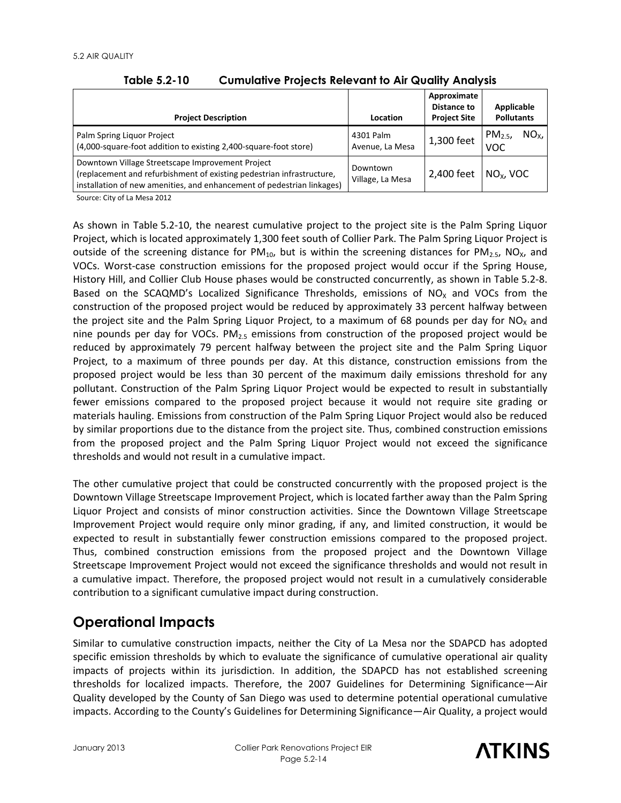| <b>Project Description</b>                                                                                                                                                                          | Location                     | Approximate<br>Distance to<br><b>Project Site</b> | Applicable<br><b>Pollutants</b>             |
|-----------------------------------------------------------------------------------------------------------------------------------------------------------------------------------------------------|------------------------------|---------------------------------------------------|---------------------------------------------|
| Palm Spring Liquor Project<br>(4,000-square-foot addition to existing 2,400-square-foot store)                                                                                                      | 4301 Palm<br>Avenue, La Mesa | 1,300 feet                                        | NO <sub>x</sub><br>$PM_{2.5}$<br><b>VOC</b> |
| Downtown Village Streetscape Improvement Project<br>(replacement and refurbishment of existing pedestrian infrastructure,<br>installation of new amenities, and enhancement of pedestrian linkages) | Downtown<br>Village, La Mesa | 2,400 feet                                        | $NOx$ , VOC                                 |

**Table 5.2-10 Cumulative Projects Relevant to Air Quality Analysis** 

Source: City of La Mesa 2012

As shown in Table 5.2-10, the nearest cumulative project to the project site is the Palm Spring Liquor Project, which is located approximately 1,300 feet south of Collier Park. The Palm Spring Liquor Project is outside of the screening distance for  $PM_{10}$ , but is within the screening distances for  $PM_{2.5}$ , NO<sub>x</sub>, and VOCs. Worst-case construction emissions for the proposed project would occur if the Spring House, History Hill, and Collier Club House phases would be constructed concurrently, as shown in Table 5.2-8. Based on the SCAQMD's Localized Significance Thresholds, emissions of  $NO<sub>x</sub>$  and VOCs from the construction of the proposed project would be reduced by approximately 33 percent halfway between the project site and the Palm Spring Liquor Project, to a maximum of 68 pounds per day for  $NO<sub>x</sub>$  and nine pounds per day for VOCs.  $PM<sub>2.5</sub>$  emissions from construction of the proposed project would be reduced by approximately 79 percent halfway between the project site and the Palm Spring Liquor Project, to a maximum of three pounds per day. At this distance, construction emissions from the proposed project would be less than 30 percent of the maximum daily emissions threshold for any pollutant. Construction of the Palm Spring Liquor Project would be expected to result in substantially fewer emissions compared to the proposed project because it would not require site grading or materials hauling. Emissions from construction of the Palm Spring Liquor Project would also be reduced by similar proportions due to the distance from the project site. Thus, combined construction emissions from the proposed project and the Palm Spring Liquor Project would not exceed the significance thresholds and would not result in a cumulative impact.

The other cumulative project that could be constructed concurrently with the proposed project is the Downtown Village Streetscape Improvement Project, which is located farther away than the Palm Spring Liquor Project and consists of minor construction activities. Since the Downtown Village Streetscape Improvement Project would require only minor grading, if any, and limited construction, it would be expected to result in substantially fewer construction emissions compared to the proposed project. Thus, combined construction emissions from the proposed project and the Downtown Village Streetscape Improvement Project would not exceed the significance thresholds and would not result in a cumulative impact. Therefore, the proposed project would not result in a cumulatively considerable contribution to a significant cumulative impact during construction.

## **Operational Impacts**

Similar to cumulative construction impacts, neither the City of La Mesa nor the SDAPCD has adopted specific emission thresholds by which to evaluate the significance of cumulative operational air quality impacts of projects within its jurisdiction. In addition, the SDAPCD has not established screening thresholds for localized impacts. Therefore, the 2007 Guidelines for Determining Significance—Air Quality developed by the County of San Diego was used to determine potential operational cumulative impacts. According to the County's Guidelines for Determining Significance—Air Quality, a project would

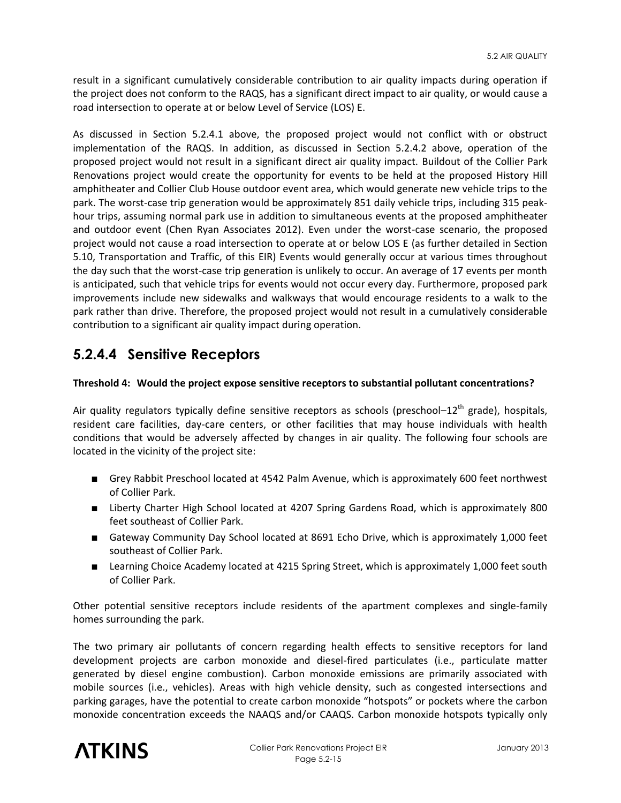result in a significant cumulatively considerable contribution to air quality impacts during operation if the project does not conform to the RAQS, has a significant direct impact to air quality, or would cause a road intersection to operate at or below Level of Service (LOS) E.

As discussed in Section 5.2.4.1 above, the proposed project would not conflict with or obstruct implementation of the RAQS. In addition, as discussed in Section 5.2.4.2 above, operation of the proposed project would not result in a significant direct air quality impact. Buildout of the Collier Park Renovations project would create the opportunity for events to be held at the proposed History Hill amphitheater and Collier Club House outdoor event area, which would generate new vehicle trips to the park. The worst-case trip generation would be approximately 851 daily vehicle trips, including 315 peakhour trips, assuming normal park use in addition to simultaneous events at the proposed amphitheater and outdoor event (Chen Ryan Associates 2012). Even under the worst-case scenario, the proposed project would not cause a road intersection to operate at or below LOS E (as further detailed in Section 5.10, Transportation and Traffic, of this EIR) Events would generally occur at various times throughout the day such that the worst-case trip generation is unlikely to occur. An average of 17 events per month is anticipated, such that vehicle trips for events would not occur every day. Furthermore, proposed park improvements include new sidewalks and walkways that would encourage residents to a walk to the park rather than drive. Therefore, the proposed project would not result in a cumulatively considerable contribution to a significant air quality impact during operation.

## **5.2.4.4 Sensitive Receptors**

#### **Threshold 4: Would the project expose sensitive receptors to substantial pollutant concentrations?**

Air quality regulators typically define sensitive receptors as schools (preschool- $12^{th}$  grade), hospitals, resident care facilities, day-care centers, or other facilities that may house individuals with health conditions that would be adversely affected by changes in air quality. The following four schools are located in the vicinity of the project site:

- Grey Rabbit Preschool located at 4542 Palm Avenue, which is approximately 600 feet northwest of Collier Park.
- Liberty Charter High School located at 4207 Spring Gardens Road, which is approximately 800 feet southeast of Collier Park.
- Gateway Community Day School located at 8691 Echo Drive, which is approximately 1,000 feet southeast of Collier Park.
- Learning Choice Academy located at 4215 Spring Street, which is approximately 1,000 feet south of Collier Park.

Other potential sensitive receptors include residents of the apartment complexes and single-family homes surrounding the park.

The two primary air pollutants of concern regarding health effects to sensitive receptors for land development projects are carbon monoxide and diesel-fired particulates (i.e., particulate matter generated by diesel engine combustion). Carbon monoxide emissions are primarily associated with mobile sources (i.e., vehicles). Areas with high vehicle density, such as congested intersections and parking garages, have the potential to create carbon monoxide "hotspots" or pockets where the carbon monoxide concentration exceeds the NAAQS and/or CAAQS. Carbon monoxide hotspots typically only

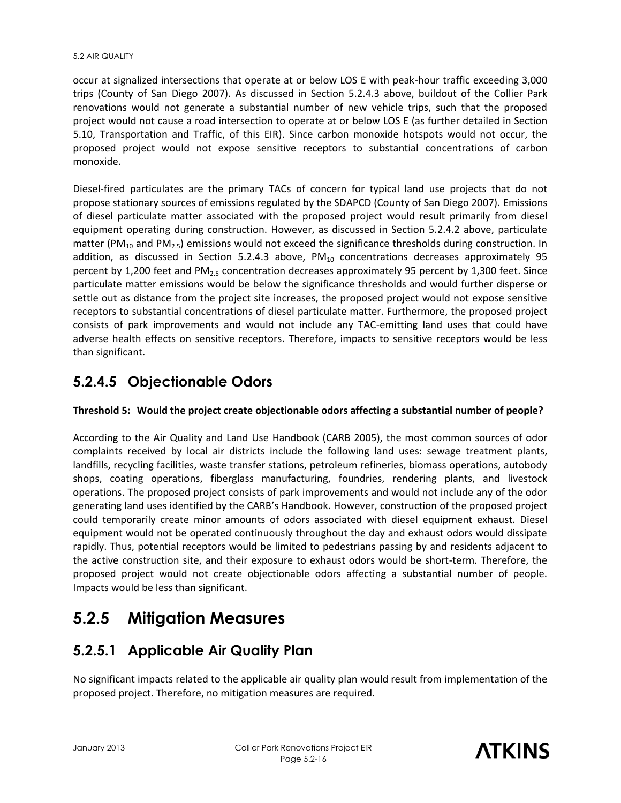occur at signalized intersections that operate at or below LOS E with peak-hour traffic exceeding 3,000 trips (County of San Diego 2007). As discussed in Section 5.2.4.3 above, buildout of the Collier Park renovations would not generate a substantial number of new vehicle trips, such that the proposed project would not cause a road intersection to operate at or below LOS E (as further detailed in Section 5.10, Transportation and Traffic, of this EIR). Since carbon monoxide hotspots would not occur, the proposed project would not expose sensitive receptors to substantial concentrations of carbon monoxide.

Diesel-fired particulates are the primary TACs of concern for typical land use projects that do not propose stationary sources of emissions regulated by the SDAPCD (County of San Diego 2007). Emissions of diesel particulate matter associated with the proposed project would result primarily from diesel equipment operating during construction. However, as discussed in Section 5.2.4.2 above, particulate matter (PM<sub>10</sub> and PM<sub>2.5</sub>) emissions would not exceed the significance thresholds during construction. In addition, as discussed in Section 5.2.4.3 above,  $PM_{10}$  concentrations decreases approximately 95 percent by 1,200 feet and PM2.5 concentration decreases approximately 95 percent by 1,300 feet. Since particulate matter emissions would be below the significance thresholds and would further disperse or settle out as distance from the project site increases, the proposed project would not expose sensitive receptors to substantial concentrations of diesel particulate matter. Furthermore, the proposed project consists of park improvements and would not include any TAC-emitting land uses that could have adverse health effects on sensitive receptors. Therefore, impacts to sensitive receptors would be less than significant.

## **5.2.4.5 Objectionable Odors**

#### **Threshold 5: Would the project create objectionable odors affecting a substantial number of people?**

According to the Air Quality and Land Use Handbook (CARB 2005), the most common sources of odor complaints received by local air districts include the following land uses: sewage treatment plants, landfills, recycling facilities, waste transfer stations, petroleum refineries, biomass operations, autobody shops, coating operations, fiberglass manufacturing, foundries, rendering plants, and livestock operations. The proposed project consists of park improvements and would not include any of the odor generating land uses identified by the CARB's Handbook. However, construction of the proposed project could temporarily create minor amounts of odors associated with diesel equipment exhaust. Diesel equipment would not be operated continuously throughout the day and exhaust odors would dissipate rapidly. Thus, potential receptors would be limited to pedestrians passing by and residents adjacent to the active construction site, and their exposure to exhaust odors would be short-term. Therefore, the proposed project would not create objectionable odors affecting a substantial number of people. Impacts would be less than significant.

# **5.2.5 Mitigation Measures**

## **5.2.5.1 Applicable Air Quality Plan**

No significant impacts related to the applicable air quality plan would result from implementation of the proposed project. Therefore, no mitigation measures are required.

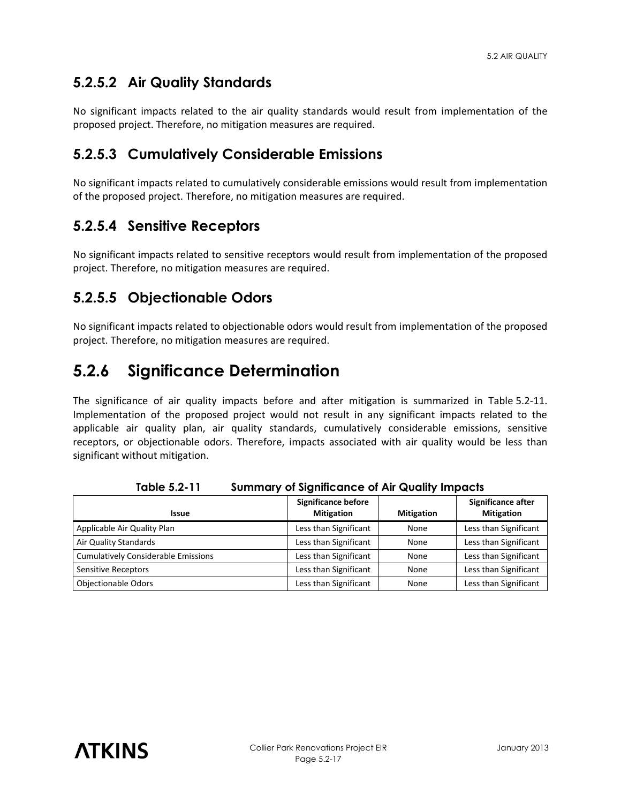## **5.2.5.2 Air Quality Standards**

No significant impacts related to the air quality standards would result from implementation of the proposed project. Therefore, no mitigation measures are required.

## **5.2.5.3 Cumulatively Considerable Emissions**

No significant impacts related to cumulatively considerable emissions would result from implementation of the proposed project. Therefore, no mitigation measures are required.

## **5.2.5.4 Sensitive Receptors**

No significant impacts related to sensitive receptors would result from implementation of the proposed project. Therefore, no mitigation measures are required.

## **5.2.5.5 Objectionable Odors**

No significant impacts related to objectionable odors would result from implementation of the proposed project. Therefore, no mitigation measures are required.

## **5.2.6 Significance Determination**

The significance of air quality impacts before and after mitigation is summarized in Table 5.2-11. Implementation of the proposed project would not result in any significant impacts related to the applicable air quality plan, air quality standards, cumulatively considerable emissions, sensitive receptors, or objectionable odors. Therefore, impacts associated with air quality would be less than significant without mitigation.

| <b>Issue</b>                               | <b>Significance before</b><br><b>Mitigation</b> | <b>Mitigation</b> | Significance after<br><b>Mitigation</b> |
|--------------------------------------------|-------------------------------------------------|-------------------|-----------------------------------------|
| Applicable Air Quality Plan                | Less than Significant                           | None              | Less than Significant                   |
| Air Quality Standards                      | Less than Significant                           | None              | Less than Significant                   |
| <b>Cumulatively Considerable Emissions</b> | Less than Significant                           | <b>None</b>       | Less than Significant                   |
| Sensitive Receptors                        | Less than Significant                           | None              | Less than Significant                   |
| <b>Objectionable Odors</b>                 | Less than Significant                           | None              | Less than Significant                   |

**Table 5.2-11 Summary of Significance of Air Quality Impacts**